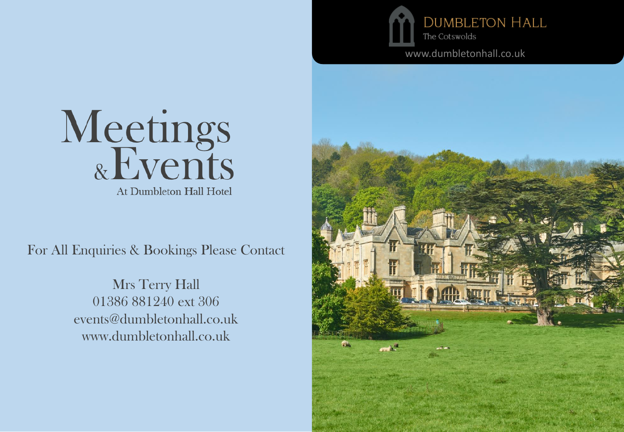

www.dumbletonhall.co.uk



For All Enquiries & Bookings Please Contact

Mrs Terry Hall 01386 881240 ext 306 events@dumbletonhall.co.uk www.dumbletonhall.co.uk